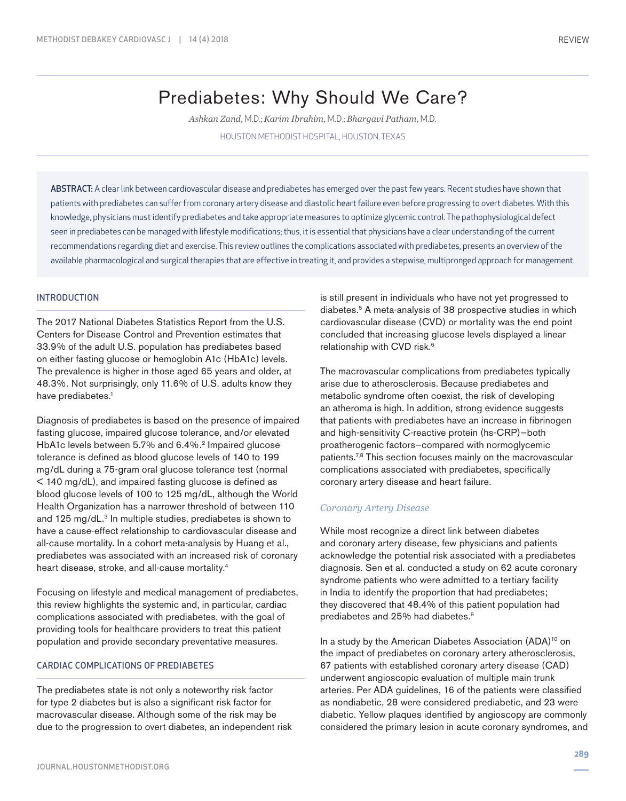# Prediabetes: Why Should We Care?

*Ashkan Zand,* M.D.; *Karim Ibrahim,* M.D.; *Bhargavi Patham,* M.D. HOUSTON METHODIST HOSPITAL, HOUSTON, TEXAS

ABSTRACT: A clear link between cardiovascular disease and prediabetes has emerged over the past few years. Recent studies have shown that patients with prediabetes can suffer from coronary artery disease and diastolic heart failure even before progressing to overt diabetes. With this knowledge, physicians must identify prediabetes and take appropriate measures to optimize glycemic control. The pathophysiological defect seen in prediabetes can be managed with lifestyle modifications; thus, it is essential that physicians have a clear understanding of the current recommendations regarding diet and exercise. This review outlines the complications associated with prediabetes, presents an overview of the available pharmacological and surgical therapies that are effective in treating it, and provides a stepwise, multipronged approach for management.

### INTRODUCTION

The 2017 National Diabetes Statistics Report from the U.S. Centers for Disease Control and Prevention estimates that 33.9% of the adult U.S. population has prediabetes based on either fasting glucose or hemoglobin A1c (HbA1c) levels. The prevalence is higher in those aged 65 years and older, at 48.3%. Not surprisingly, only 11.6% of U.S. adults know they have prediabetes.<sup>1</sup>

Diagnosis of prediabetes is based on the presence of impaired fasting glucose, impaired glucose tolerance, and/or elevated HbA1c levels between 5.7% and 6.4%.<sup>2</sup> Impaired glucose tolerance is defined as blood glucose levels of 140 to 199 mg/dL during a 75-gram oral glucose tolerance test (normal < 140 mg/dL), and impaired fasting glucose is defined as blood glucose levels of 100 to 125 mg/dL, although the World Health Organization has a narrower threshold of between 110 and 125 mg/dL.<sup>3</sup> In multiple studies, prediabetes is shown to have a cause-effect relationship to cardiovascular disease and all-cause mortality. In a cohort meta-analysis by Huang et al., prediabetes was associated with an increased risk of coronary heart disease, stroke, and all-cause mortality.4

Focusing on lifestyle and medical management of prediabetes, this review highlights the systemic and, in particular, cardiac complications associated with prediabetes, with the goal of providing tools for healthcare providers to treat this patient population and provide secondary preventative measures.

#### CARDIAC COMPLICATIONS OF PREDIABETES

The prediabetes state is not only a noteworthy risk factor for type 2 diabetes but is also a significant risk factor for macrovascular disease. Although some of the risk may be due to the progression to overt diabetes, an independent risk is still present in individuals who have not yet progressed to diabetes.5 A meta-analysis of 38 prospective studies in which cardiovascular disease (CVD) or mortality was the end point concluded that increasing glucose levels displayed a linear relationship with CVD risk.<sup>6</sup>

The macrovascular complications from prediabetes typically arise due to atherosclerosis. Because prediabetes and metabolic syndrome often coexist, the risk of developing an atheroma is high. In addition, strong evidence suggests that patients with prediabetes have an increase in fibrinogen and high-sensitivity C-reactive protein (hs-CRP)—both proatherogenic factors—compared with normoglycemic patients.7,8 This section focuses mainly on the macrovascular complications associated with prediabetes, specifically coronary artery disease and heart failure.

#### *Coronary Artery Disease*

While most recognize a direct link between diabetes and coronary artery disease, few physicians and patients acknowledge the potential risk associated with a prediabetes diagnosis. Sen et al. conducted a study on 62 acute coronary syndrome patients who were admitted to a tertiary facility in India to identify the proportion that had prediabetes; they discovered that 48.4% of this patient population had prediabetes and 25% had diabetes.9

In a study by the American Diabetes Association (ADA)<sup>10</sup> on the impact of prediabetes on coronary artery atherosclerosis, 67 patients with established coronary artery disease (CAD) underwent angioscopic evaluation of multiple main trunk arteries. Per ADA guidelines, 16 of the patients were classified as nondiabetic, 28 were considered prediabetic, and 23 were diabetic. Yellow plaques identified by angioscopy are commonly considered the primary lesion in acute coronary syndromes, and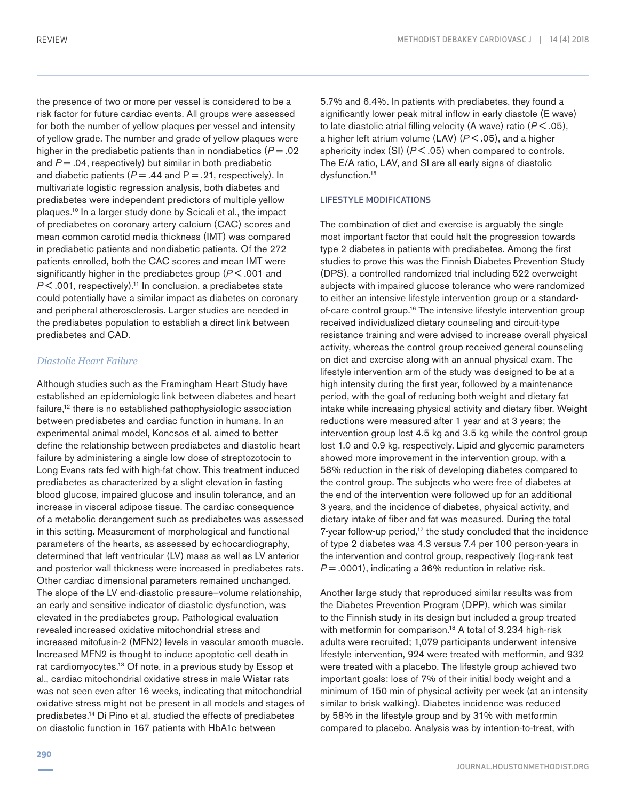the presence of two or more per vessel is considered to be a risk factor for future cardiac events. All groups were assessed for both the number of yellow plaques per vessel and intensity of yellow grade. The number and grade of yellow plaques were higher in the prediabetic patients than in nondiabetics  $(P = .02)$ and *P* = .04, respectively) but similar in both prediabetic and diabetic patients ( $P = .44$  and  $P = .21$ , respectively). In multivariate logistic regression analysis, both diabetes and prediabetes were independent predictors of multiple yellow plaques.10 In a larger study done by Scicali et al., the impact of prediabetes on coronary artery calcium (CAC) scores and mean common carotid media thickness (IMT) was compared in prediabetic patients and nondiabetic patients. Of the 272 patients enrolled, both the CAC scores and mean IMT were significantly higher in the prediabetes group ( $P < 0.001$  and *P* < .001, respectively).<sup>11</sup> In conclusion, a prediabetes state could potentially have a similar impact as diabetes on coronary and peripheral atherosclerosis. Larger studies are needed in the prediabetes population to establish a direct link between prediabetes and CAD.

## *Diastolic Heart Failure*

Although studies such as the Framingham Heart Study have established an epidemiologic link between diabetes and heart failure,<sup>12</sup> there is no established pathophysiologic association between prediabetes and cardiac function in humans. In an experimental animal model, Koncsos et al. aimed to better define the relationship between prediabetes and diastolic heart failure by administering a single low dose of streptozotocin to Long Evans rats fed with high-fat chow. This treatment induced prediabetes as characterized by a slight elevation in fasting blood glucose, impaired glucose and insulin tolerance, and an increase in visceral adipose tissue. The cardiac consequence of a metabolic derangement such as prediabetes was assessed in this setting. Measurement of morphological and functional parameters of the hearts, as assessed by echocardiography, determined that left ventricular (LV) mass as well as LV anterior and posterior wall thickness were increased in prediabetes rats. Other cardiac dimensional parameters remained unchanged. The slope of the LV end-diastolic pressure–volume relationship, an early and sensitive indicator of diastolic dysfunction, was elevated in the prediabetes group. Pathological evaluation revealed increased oxidative mitochondrial stress and increased mitofusin-2 (MFN2) levels in vascular smooth muscle. Increased MFN2 is thought to induce apoptotic cell death in rat cardiomyocytes.13 Of note, in a previous study by Essop et al., cardiac mitochondrial oxidative stress in male Wistar rats was not seen even after 16 weeks, indicating that mitochondrial oxidative stress might not be present in all models and stages of prediabetes.14 Di Pino et al. studied the effects of prediabetes on diastolic function in 167 patients with HbA1c between

5.7% and 6.4%. In patients with prediabetes, they found a significantly lower peak mitral inflow in early diastole (E wave) to late diastolic atrial filling velocity (A wave) ratio (*P* < .05), a higher left atrium volume (LAV) (*P* < .05), and a higher sphericity index (SI) ( $P$  < .05) when compared to controls. The E/A ratio, LAV, and SI are all early signs of diastolic dysfunction.15

## LIFESTYLE MODIFICATIONS

The combination of diet and exercise is arguably the single most important factor that could halt the progression towards type 2 diabetes in patients with prediabetes. Among the first studies to prove this was the Finnish Diabetes Prevention Study (DPS), a controlled randomized trial including 522 overweight subjects with impaired glucose tolerance who were randomized to either an intensive lifestyle intervention group or a standardof-care control group.<sup>16</sup> The intensive lifestyle intervention group received individualized dietary counseling and circuit-type resistance training and were advised to increase overall physical activity, whereas the control group received general counseling on diet and exercise along with an annual physical exam. The lifestyle intervention arm of the study was designed to be at a high intensity during the first year, followed by a maintenance period, with the goal of reducing both weight and dietary fat intake while increasing physical activity and dietary fiber. Weight reductions were measured after 1 year and at 3 years; the intervention group lost 4.5 kg and 3.5 kg while the control group lost 1.0 and 0.9 kg, respectively. Lipid and glycemic parameters showed more improvement in the intervention group, with a 58% reduction in the risk of developing diabetes compared to the control group. The subjects who were free of diabetes at the end of the intervention were followed up for an additional 3 years, and the incidence of diabetes, physical activity, and dietary intake of fiber and fat was measured. During the total 7-year follow-up period,<sup>17</sup> the study concluded that the incidence of type 2 diabetes was 4.3 versus 7.4 per 100 person-years in the intervention and control group, respectively (log-rank test *P* = .0001), indicating a 36% reduction in relative risk.

Another large study that reproduced similar results was from the Diabetes Prevention Program (DPP), which was similar to the Finnish study in its design but included a group treated with metformin for comparison.<sup>18</sup> A total of 3,234 high-risk adults were recruited; 1,079 participants underwent intensive lifestyle intervention, 924 were treated with metformin, and 932 were treated with a placebo. The lifestyle group achieved two important goals: loss of 7% of their initial body weight and a minimum of 150 min of physical activity per week (at an intensity similar to brisk walking). Diabetes incidence was reduced by 58% in the lifestyle group and by 31% with metformin compared to placebo. Analysis was by intention-to-treat, with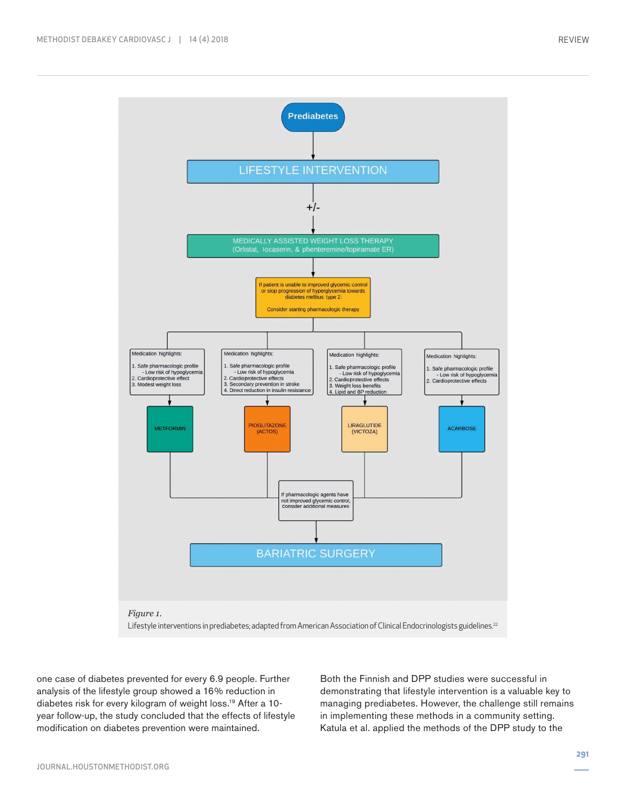

one case of diabetes prevented for every 6.9 people. Further analysis of the lifestyle group showed a 16% reduction in diabetes risk for every kilogram of weight loss.19 After a 10 year follow-up, the study concluded that the effects of lifestyle modification on diabetes prevention were maintained.

Both the Finnish and DPP studies were successful in demonstrating that lifestyle intervention is a valuable key to managing prediabetes. However, the challenge still remains in implementing these methods in a community setting. Katula et al. applied the methods of the DPP study to the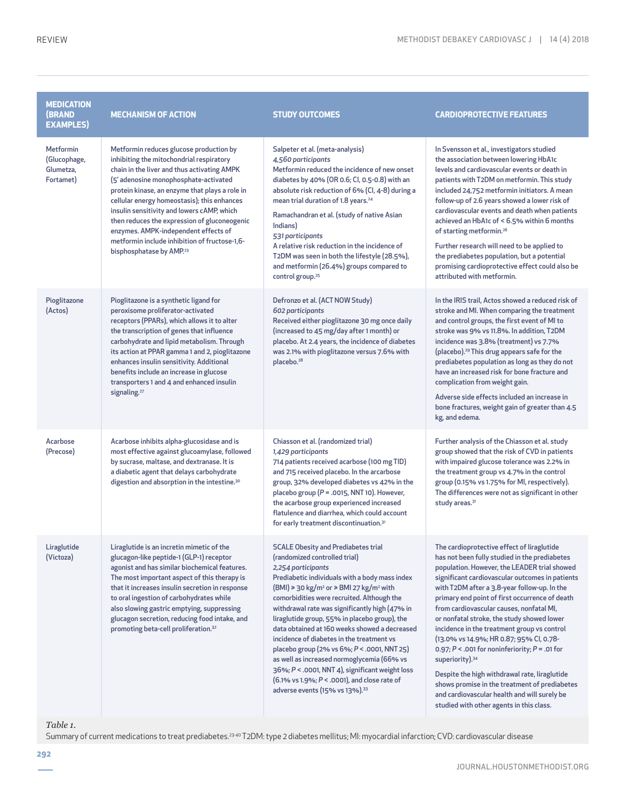| <b>MEDICATION</b><br><b>(BRAND</b><br><b>EXAMPLES)</b>     | <b>MECHANISM OF ACTION</b>                                                                                                                                                                                                                                                                                                                                                                                                                                                                                  | <b>STUDY OUTCOMES</b>                                                                                                                                                                                                                                                                                                                                                                                                                                                                                                                                                                                                                                                                                                                          | <b>CARDIOPROTECTIVE FEATURES</b>                                                                                                                                                                                                                                                                                                                                                                                                                                                                                                                                                                                                                                                                                                                                        |
|------------------------------------------------------------|-------------------------------------------------------------------------------------------------------------------------------------------------------------------------------------------------------------------------------------------------------------------------------------------------------------------------------------------------------------------------------------------------------------------------------------------------------------------------------------------------------------|------------------------------------------------------------------------------------------------------------------------------------------------------------------------------------------------------------------------------------------------------------------------------------------------------------------------------------------------------------------------------------------------------------------------------------------------------------------------------------------------------------------------------------------------------------------------------------------------------------------------------------------------------------------------------------------------------------------------------------------------|-------------------------------------------------------------------------------------------------------------------------------------------------------------------------------------------------------------------------------------------------------------------------------------------------------------------------------------------------------------------------------------------------------------------------------------------------------------------------------------------------------------------------------------------------------------------------------------------------------------------------------------------------------------------------------------------------------------------------------------------------------------------------|
| <b>Metformin</b><br>(Glucophage,<br>Glumetza,<br>Fortamet) | Metformin reduces glucose production by<br>inhibiting the mitochondrial respiratory<br>chain in the liver and thus activating AMPK<br>(5' adenosine monophosphate-activated<br>protein kinase, an enzyme that plays a role in<br>cellular energy homeostasis); this enhances<br>insulin sensitivity and lowers cAMP, which<br>then reduces the expression of gluconeogenic<br>enzymes. AMPK-independent effects of<br>metformin include inhibition of fructose-1,6-<br>bisphosphatase by AMP. <sup>23</sup> | Salpeter et al. (meta-analysis)<br>4,560 participants<br>Metformin reduced the incidence of new onset<br>diabetes by 40% (OR 0.6; CI, 0.5-0.8) with an<br>absolute risk reduction of 6% (CI, 4-8) during a<br>mean trial duration of 1.8 years. <sup>24</sup><br>Ramachandran et al. (study of native Asian<br>Indians)<br>531 participants<br>A relative risk reduction in the incidence of<br>T2DM was seen in both the lifestyle (28.5%),<br>and metformin (26.4%) groups compared to<br>control group. <sup>25</sup>                                                                                                                                                                                                                       | In Svensson et al., investigators studied<br>the association between lowering HbA1c<br>levels and cardiovascular events or death in<br>patients with T2DM on metformin. This study<br>included 24,752 metformin initiators. A mean<br>follow-up of 2.6 years showed a lower risk of<br>cardiovascular events and death when patients<br>achieved an HbA1c of < 6.5% within 6 months<br>of starting metformin. <sup>26</sup><br>Further research will need to be applied to<br>the prediabetes population, but a potential<br>promising cardioprotective effect could also be<br>attributed with metformin.                                                                                                                                                              |
| Pioglitazone<br>(Actos)                                    | Pioglitazone is a synthetic ligand for<br>peroxisome proliferator-activated<br>receptors (PPARs), which allows it to alter<br>the transcription of genes that influence<br>carbohydrate and lipid metabolism. Through<br>its action at PPAR gamma 1 and 2, pioglitazone<br>enhances insulin sensitivity. Additional<br>benefits include an increase in glucose<br>transporters 1 and 4 and enhanced insulin<br>signaling. <sup>27</sup>                                                                     | Defronzo et al. (ACT NOW Study)<br>602 participants<br>Received either pioglitazone 30 mg once daily<br>(increased to 45 mg/day after 1 month) or<br>placebo. At 2.4 years, the incidence of diabetes<br>was 2.1% with pioglitazone versus 7.6% with<br>placebo. <sup>28</sup>                                                                                                                                                                                                                                                                                                                                                                                                                                                                 | In the IRIS trail, Actos showed a reduced risk of<br>stroke and MI. When comparing the treatment<br>and control groups, the first event of MI to<br>stroke was 9% vs 11.8%. In addition, T2DM<br>incidence was 3.8% (treatment) vs 7.7%<br>(placebo). <sup>29</sup> This drug appears safe for the<br>prediabetes population as long as they do not<br>have an increased risk for bone fracture and<br>complication from weight gain.<br>Adverse side effects included an increase in<br>bone fractures, weight gain of greater than 4.5<br>kg, and edema.                                                                                                                                                                                                              |
| Acarbose<br>(Precose)                                      | Acarbose inhibits alpha-glucosidase and is<br>most effective against glucoamylase, followed<br>by sucrase, maltase, and dextranase. It is<br>a diabetic agent that delays carbohydrate<br>digestion and absorption in the intestine. <sup>30</sup>                                                                                                                                                                                                                                                          | Chiasson et al. (randomized trial)<br>1,429 participants<br>714 patients received acarbose (100 mg TID)<br>and 715 received placebo. In the arcarbose<br>group, 32% developed diabetes vs 42% in the<br>placebo group ( $P = .0015$ , NNT 10). However,<br>the acarbose group experienced increased<br>flatulence and diarrhea, which could account<br>for early treatment discontinuation. <sup>31</sup>                                                                                                                                                                                                                                                                                                                                      | Further analysis of the Chiasson et al. study<br>group showed that the risk of CVD in patients<br>with impaired glucose tolerance was 2.2% in<br>the treatment group vs 4.7% in the control<br>group (0.15% vs 1.75% for MI, respectively).<br>The differences were not as significant in other<br>study areas. <sup>31</sup>                                                                                                                                                                                                                                                                                                                                                                                                                                           |
| Liraglutide<br>(Victoza)                                   | Liraglutide is an incretin mimetic of the<br>glucagon-like peptide-1 (GLP-1) receptor<br>agonist and has similar biochemical features.<br>The most important aspect of this therapy is<br>that it increases insulin secretion in response<br>to oral ingestion of carbohydrates while<br>also slowing gastric emptying, suppressing<br>glucagon secretion, reducing food intake, and<br>promoting beta-cell proliferation. <sup>32</sup>                                                                    | <b>SCALE Obesity and Prediabetes trial</b><br>(randomized controlled trial)<br>2,254 participants<br>Prediabetic individuals with a body mass index<br>$(BMI) \ge 30 \text{ kg/m}^2 \text{ or } BMI 27 \text{ kg/m}^2 \text{ with}$<br>comorbidities were recruited. Although the<br>withdrawal rate was significantly high (47% in<br>liraglutide group, 55% in placebo group), the<br>data obtained at 160 weeks showed a decreased<br>incidence of diabetes in the treatment vs<br>placebo group (2% vs 6%; P < .0001, NNT 25)<br>as well as increased normoglycemia (66% vs<br>36%; P < .0001, NNT 4), significant weight loss<br>$(6.1\% \text{ vs } 1.9\%; P < .0001)$ , and close rate of<br>adverse events (15% vs 13%). <sup>33</sup> | The cardioprotective effect of liraglutide<br>has not been fully studied in the prediabetes<br>population. However, the LEADER trial showed<br>significant cardiovascular outcomes in patients<br>with T2DM after a 3.8-year follow-up. In the<br>primary end point of first occurrence of death<br>from cardiovascular causes, nonfatal MI,<br>or nonfatal stroke, the study showed lower<br>incidence in the treatment group vs control<br>(13.0% vs 14.9%; HR 0.87; 95% CI, 0.78-<br>0.97; $P < .001$ for noninferiority; $P = .01$ for<br>superiority). <sup>34</sup><br>Despite the high withdrawal rate, liraglutide<br>shows promise in the treatment of prediabetes<br>and cardiovascular health and will surely be<br>studied with other agents in this class. |

#### *Table 1.*

Summary of current medications to treat prediabetes.23-40 T2DM: type 2 diabetes mellitus; MI: myocardial infarction; CVD: cardiovascular disease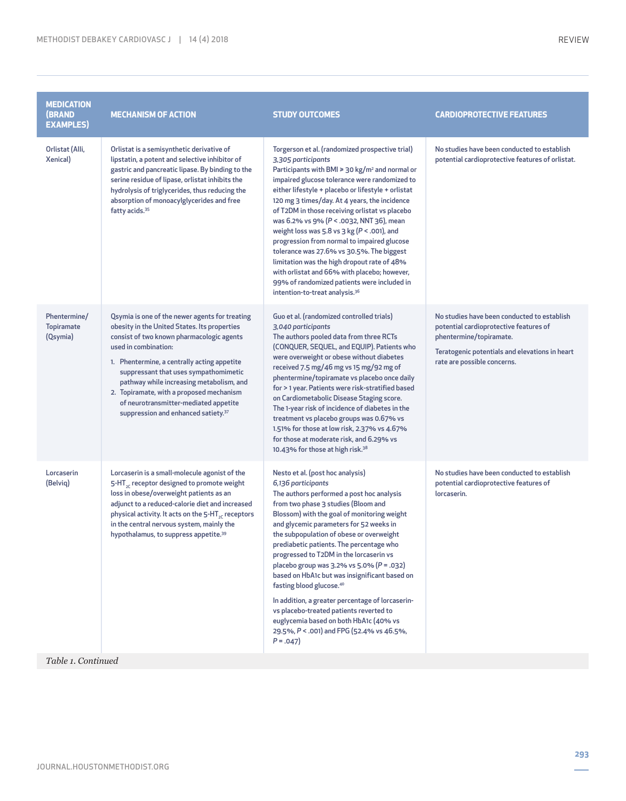| <b>MEDICATION</b><br><b>(BRAND</b><br><b>EXAMPLES)</b> | <b>MECHANISM OF ACTION</b>                                                                                                                                                                                                                                                                                                                                                                                                                      | <b>STUDY OUTCOMES</b>                                                                                                                                                                                                                                                                                                                                                                                                                                                                                                                                                                                                                                                                                                                       | <b>CARDIOPROTECTIVE FEATURES</b>                                                                                                                                                                  |  |
|--------------------------------------------------------|-------------------------------------------------------------------------------------------------------------------------------------------------------------------------------------------------------------------------------------------------------------------------------------------------------------------------------------------------------------------------------------------------------------------------------------------------|---------------------------------------------------------------------------------------------------------------------------------------------------------------------------------------------------------------------------------------------------------------------------------------------------------------------------------------------------------------------------------------------------------------------------------------------------------------------------------------------------------------------------------------------------------------------------------------------------------------------------------------------------------------------------------------------------------------------------------------------|---------------------------------------------------------------------------------------------------------------------------------------------------------------------------------------------------|--|
| Orlistat (Alli,<br>Xenical)                            | Orlistat is a semisynthetic derivative of<br>lipstatin, a potent and selective inhibitor of<br>gastric and pancreatic lipase. By binding to the<br>serine residue of lipase, orlistat inhibits the<br>hydrolysis of triglycerides, thus reducing the<br>absorption of monoacylglycerides and free<br>fatty acids. <sup>35</sup>                                                                                                                 | Torgerson et al. (randomized prospective trial)<br>3,305 participants<br>Participants with BMI $\geq$ 30 kg/m <sup>2</sup> and normal or<br>impaired glucose tolerance were randomized to<br>either lifestyle + placebo or lifestyle + orlistat<br>120 mg 3 times/day. At 4 years, the incidence<br>of T2DM in those receiving orlistat vs placebo<br>was 6.2% vs 9% (P < .0032, NNT 36), mean<br>weight loss was 5.8 vs $3$ kg ( $P < .001$ ), and<br>progression from normal to impaired glucose<br>tolerance was 27.6% vs 30.5%. The biggest<br>limitation was the high dropout rate of 48%<br>with orlistat and 66% with placebo; however,<br>99% of randomized patients were included in<br>intention-to-treat analysis. <sup>36</sup> | No studies have been conducted to establish<br>potential cardioprotective features of orlistat.                                                                                                   |  |
| Phentermine/<br>Topiramate<br>(Qsymia)                 | Qsymia is one of the newer agents for treating<br>obesity in the United States. Its properties<br>consist of two known pharmacologic agents<br>used in combination:<br>1. Phentermine, a centrally acting appetite<br>suppressant that uses sympathomimetic<br>pathway while increasing metabolism, and<br>2. Topiramate, with a proposed mechanism<br>of neurotransmitter-mediated appetite<br>suppression and enhanced satiety. <sup>37</sup> | Guo et al. (randomized controlled trials)<br>3,040 participants<br>The authors pooled data from three RCTs<br>(CONQUER, SEQUEL, and EQUIP). Patients who<br>were overweight or obese without diabetes<br>received 7.5 mg/46 mg vs 15 mg/92 mg of<br>phentermine/topiramate vs placebo once daily<br>for > 1 year. Patients were risk-stratified based<br>on Cardiometabolic Disease Staging score.<br>The 1-year risk of incidence of diabetes in the<br>treatment vs placebo groups was 0.67% vs<br>1.51% for those at low risk, 2.37% vs 4.67%<br>for those at moderate risk, and 6.29% vs<br>10.43% for those at high risk. <sup>38</sup>                                                                                                | No studies have been conducted to establish<br>potential cardioprotective features of<br>phentermine/topiramate.<br>Teratogenic potentials and elevations in heart<br>rate are possible concerns. |  |
| Lorcaserin<br>(Belviq)                                 | Lorcaserin is a small-molecule agonist of the<br>5-HT <sub>2C</sub> receptor designed to promote weight<br>loss in obese/overweight patients as an<br>adjunct to a reduced-calorie diet and increased<br>physical activity. It acts on the 5-HT <sub>3C</sub> receptors<br>in the central nervous system, mainly the<br>hypothalamus, to suppress appetite. <sup>39</sup>                                                                       | Nesto et al. (post hoc analysis)<br>6,136 participants<br>The authors performed a post hoc analysis<br>from two phase 3 studies (Bloom and<br>Blossom) with the goal of monitoring weight<br>and glycemic parameters for 52 weeks in<br>the subpopulation of obese or overweight<br>prediabetic patients. The percentage who<br>progressed to T2DM in the lorcaserin vs<br>placebo group was 3.2% vs 5.0% (P = .032)<br>based on HbA1c but was insignificant based on<br>fasting blood glucose. <sup>40</sup><br>In addition, a greater percentage of lorcaserin-<br>vs placebo-treated patients reverted to<br>euglycemia based on both HbA1c (40% vs<br>29.5%, P < .001) and FPG (52.4% vs 46.5%,<br>$P = .047$                           | No studies have been conducted to establish<br>potential cardioprotective features of<br>lorcaserin.                                                                                              |  |
| Table 1. Continued                                     |                                                                                                                                                                                                                                                                                                                                                                                                                                                 |                                                                                                                                                                                                                                                                                                                                                                                                                                                                                                                                                                                                                                                                                                                                             |                                                                                                                                                                                                   |  |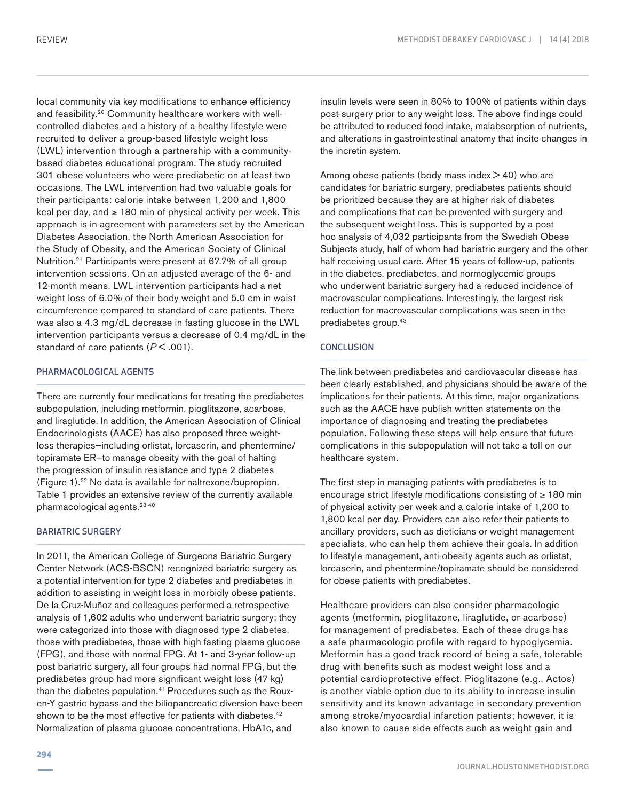local community via key modifications to enhance efficiency and feasibility.20 Community healthcare workers with wellcontrolled diabetes and a history of a healthy lifestyle were recruited to deliver a group-based lifestyle weight loss (LWL) intervention through a partnership with a communitybased diabetes educational program. The study recruited 301 obese volunteers who were prediabetic on at least two occasions. The LWL intervention had two valuable goals for their participants: calorie intake between 1,200 and 1,800 kcal per day, and ≥ 180 min of physical activity per week. This approach is in agreement with parameters set by the American Diabetes Association, the North American Association for the Study of Obesity, and the American Society of Clinical Nutrition.21 Participants were present at 67.7% of all group intervention sessions. On an adjusted average of the 6- and 12-month means, LWL intervention participants had a net weight loss of 6.0% of their body weight and 5.0 cm in waist circumference compared to standard of care patients. There was also a 4.3 mg/dL decrease in fasting glucose in the LWL intervention participants versus a decrease of 0.4 mg/dL in the standard of care patients ( $P < .001$ ).

#### PHARMACOLOGICAL AGENTS

There are currently four medications for treating the prediabetes subpopulation, including metformin, pioglitazone, acarbose, and liraglutide. In addition, the American Association of Clinical Endocrinologists (AACE) has also proposed three weightloss therapies—including orlistat, lorcaserin, and phentermine/ topiramate ER—to manage obesity with the goal of halting the progression of insulin resistance and type 2 diabetes (Figure 1).22 No data is available for naltrexone/bupropion. Table 1 provides an extensive review of the currently available pharmacological agents.23-40

#### BARIATRIC SURGERY

In 2011, the American College of Surgeons Bariatric Surgery Center Network (ACS-BSCN) recognized bariatric surgery as a potential intervention for type 2 diabetes and prediabetes in addition to assisting in weight loss in morbidly obese patients. De la Cruz-Muñoz and colleagues performed a retrospective analysis of 1,602 adults who underwent bariatric surgery; they were categorized into those with diagnosed type 2 diabetes, those with prediabetes, those with high fasting plasma glucose (FPG), and those with normal FPG. At 1- and 3-year follow-up post bariatric surgery, all four groups had normal FPG, but the prediabetes group had more significant weight loss (47 kg) than the diabetes population.<sup>41</sup> Procedures such as the Rouxen-Y gastric bypass and the biliopancreatic diversion have been shown to be the most effective for patients with diabetes.<sup>42</sup> Normalization of plasma glucose concentrations, HbA1c, and

insulin levels were seen in 80% to 100% of patients within days post-surgery prior to any weight loss. The above findings could be attributed to reduced food intake, malabsorption of nutrients, and alterations in gastrointestinal anatomy that incite changes in the incretin system.

Among obese patients (body mass index  $>$  40) who are candidates for bariatric surgery, prediabetes patients should be prioritized because they are at higher risk of diabetes and complications that can be prevented with surgery and the subsequent weight loss. This is supported by a post hoc analysis of 4,032 participants from the Swedish Obese Subjects study, half of whom had bariatric surgery and the other half receiving usual care. After 15 years of follow-up, patients in the diabetes, prediabetes, and normoglycemic groups who underwent bariatric surgery had a reduced incidence of macrovascular complications. Interestingly, the largest risk reduction for macrovascular complications was seen in the prediabetes group.<sup>43</sup>

#### **CONCLUSION**

The link between prediabetes and cardiovascular disease has been clearly established, and physicians should be aware of the implications for their patients. At this time, major organizations such as the AACE have publish written statements on the importance of diagnosing and treating the prediabetes population. Following these steps will help ensure that future complications in this subpopulation will not take a toll on our healthcare system.

The first step in managing patients with prediabetes is to encourage strict lifestyle modifications consisting of ≥ 180 min of physical activity per week and a calorie intake of 1,200 to 1,800 kcal per day. Providers can also refer their patients to ancillary providers, such as dieticians or weight management specialists, who can help them achieve their goals. In addition to lifestyle management, anti-obesity agents such as orlistat, lorcaserin, and phentermine/topiramate should be considered for obese patients with prediabetes.

Healthcare providers can also consider pharmacologic agents (metformin, pioglitazone, liraglutide, or acarbose) for management of prediabetes. Each of these drugs has a safe pharmacologic profile with regard to hypoglycemia. Metformin has a good track record of being a safe, tolerable drug with benefits such as modest weight loss and a potential cardioprotective effect. Pioglitazone (e.g., Actos) is another viable option due to its ability to increase insulin sensitivity and its known advantage in secondary prevention among stroke/myocardial infarction patients; however, it is also known to cause side effects such as weight gain and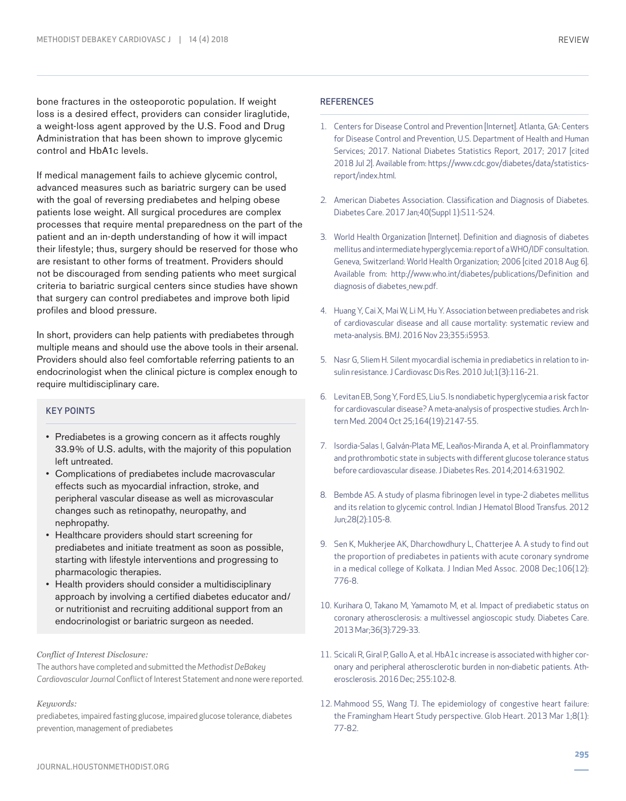bone fractures in the osteoporotic population. If weight loss is a desired effect, providers can consider liraglutide, a weight-loss agent approved by the U.S. Food and Drug Administration that has been shown to improve glycemic control and HbA1c levels.

If medical management fails to achieve glycemic control, advanced measures such as bariatric surgery can be used with the goal of reversing prediabetes and helping obese patients lose weight. All surgical procedures are complex processes that require mental preparedness on the part of the patient and an in-depth understanding of how it will impact their lifestyle; thus, surgery should be reserved for those who are resistant to other forms of treatment. Providers should not be discouraged from sending patients who meet surgical criteria to bariatric surgical centers since studies have shown that surgery can control prediabetes and improve both lipid profiles and blood pressure.

In short, providers can help patients with prediabetes through multiple means and should use the above tools in their arsenal. Providers should also feel comfortable referring patients to an endocrinologist when the clinical picture is complex enough to require multidisciplinary care.

#### KEY POINTS

- Prediabetes is a growing concern as it affects roughly 33.9% of U.S. adults, with the majority of this population left untreated.
- Complications of prediabetes include macrovascular effects such as myocardial infraction, stroke, and peripheral vascular disease as well as microvascular changes such as retinopathy, neuropathy, and nephropathy.
- Healthcare providers should start screening for prediabetes and initiate treatment as soon as possible, starting with lifestyle interventions and progressing to pharmacologic therapies.
- Health providers should consider a multidisciplinary approach by involving a certified diabetes educator and/ or nutritionist and recruiting additional support from an endocrinologist or bariatric surgeon as needed.

#### *Conflict of Interest Disclosure:*

The authors have completed and submitted the *Methodist DeBakey Cardiovascular Journal* Conflict of Interest Statement and none were reported.

#### *Keywords:*

prediabetes, impaired fasting glucose, impaired glucose tolerance, diabetes prevention, management of prediabetes

- 1. Centers for Disease Control and Prevention [Internet]. Atlanta, GA: Centers for Disease Control and Prevention, U.S. Department of Health and Human Services; 2017. National Diabetes Statistics Report, 2017; 2017 [cited 2018 Jul 2]. Available from: https://www.cdc.gov/diabetes/data/statisticsreport/index.html.
- 2. American Diabetes Association. Classification and Diagnosis of Diabetes. Diabetes Care. 2017 Jan;40(Suppl 1):S11-S24.
- 3. World Health Organization [Internet]. Definition and diagnosis of diabetes mellitus and intermediate hyperglycemia: report of a WHO/IDF consultation. Geneva, Switzerland: World Health Organization; 2006 [cited 2018 Aug 6]. Available from: http://www.who.int/diabetes/publications/Definition and diagnosis of diabetes\_new.pdf.
- 4. Huang Y, Cai X, Mai W, Li M, Hu Y. Association between prediabetes and risk of cardiovascular disease and all cause mortality: systematic review and meta-analysis. BMJ. 2016 Nov 23;355:i5953.
- 5. Nasr G, Sliem H. Silent myocardial ischemia in prediabetics in relation to insulin resistance. J Cardiovasc Dis Res. 2010 Jul;1(3):116-21.
- 6. Levitan EB, Song Y, Ford ES, Liu S. Is nondiabetic hyperglycemia a risk factor for cardiovascular disease? A meta-analysis of prospective studies. Arch Intern Med. 2004 Oct 25;164(19):2147-55.
- 7. Isordia-Salas I, Galván-Plata ME, Leaños-Miranda A, et al. Proinflammatory and prothrombotic state in subjects with different glucose tolerance status before cardiovascular disease. J Diabetes Res. 2014;2014:631902.
- 8. Bembde AS. A study of plasma fibrinogen level in type-2 diabetes mellitus and its relation to glycemic control. Indian J Hematol Blood Transfus. 2012 Jun;28(2):105-8.
- 9. Sen K, Mukherjee AK, Dharchowdhury L, Chatterjee A. A study to find out the proportion of prediabetes in patients with acute coronary syndrome in a medical college of Kolkata. J Indian Med Assoc. 2008 Dec;106(12): 776-8.
- 10. Kurihara O, Takano M, Yamamoto M, et al. Impact of prediabetic status on coronary atherosclerosis: a multivessel angioscopic study. Diabetes Care. 2013 Mar;36(3):729-33.
- 11. Scicali R, Giral P, Gallo A, et al. HbA1c increase is associated with higher coronary and peripheral atherosclerotic burden in non-diabetic patients. Atherosclerosis. 2016 Dec; 255:102-8.
- 12. Mahmood SS, Wang TJ. The epidemiology of congestive heart failure: the Framingham Heart Study perspective. Glob Heart. 2013 Mar 1;8(1): 77-82.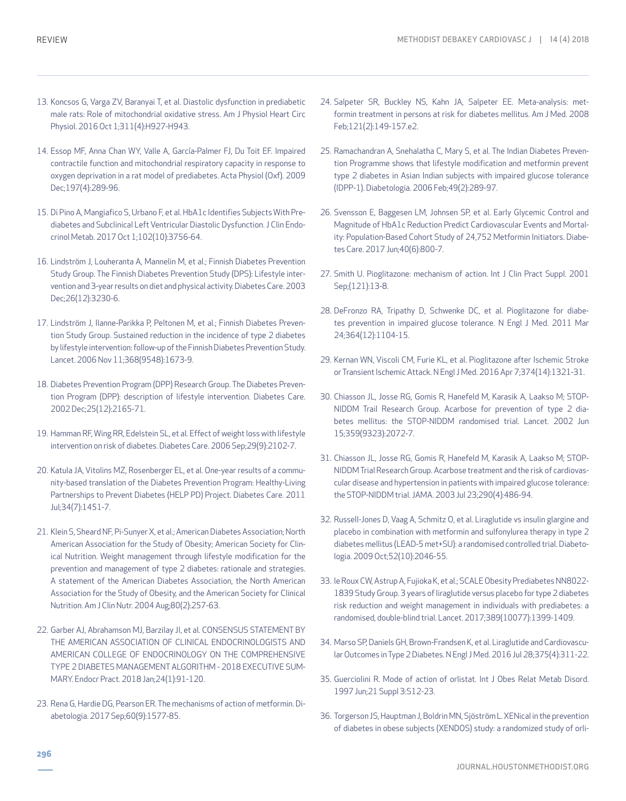- 13. Koncsos G, Varga ZV, Baranyai T, et al. Diastolic dysfunction in prediabetic male rats: Role of mitochondrial oxidative stress. Am J Physiol Heart Circ Physiol. 2016 Oct 1;311(4):H927-H943.
- 14. Essop MF, Anna Chan WY, Valle A, García-Palmer FJ, Du Toit EF. Impaired contractile function and mitochondrial respiratory capacity in response to oxygen deprivation in a rat model of prediabetes. Acta Physiol (Oxf). 2009 Dec;197(4):289-96.
- 15. Di Pino A, Mangiafico S, Urbano F, et al. HbA1c Identifies Subjects With Prediabetes and Subclinical Left Ventricular Diastolic Dysfunction. J Clin Endocrinol Metab. 2017 Oct 1;102(10):3756-64.
- 16. Lindström J, Louheranta A, Mannelin M, et al.; Finnish Diabetes Prevention Study Group. The Finnish Diabetes Prevention Study (DPS): Lifestyle intervention and 3-year results on diet and physical activity. Diabetes Care. 2003 Dec;26(12):3230-6.
- 17. Lindström J, Ilanne-Parikka P, Peltonen M, et al.; Finnish Diabetes Prevention Study Group. Sustained reduction in the incidence of type 2 diabetes by lifestyle intervention: follow-up of the Finnish Diabetes Prevention Study. Lancet. 2006 Nov 11;368(9548):1673-9.
- 18. Diabetes Prevention Program (DPP) Research Group. The Diabetes Prevention Program (DPP): description of lifestyle intervention. Diabetes Care. 2002 Dec;25(12):2165-71.
- 19. Hamman RF, Wing RR, Edelstein SL, et al. Effect of weight loss with lifestyle intervention on risk of diabetes. Diabetes Care. 2006 Sep;29(9):2102-7.
- 20. Katula JA, Vitolins MZ, Rosenberger EL, et al. One-year results of a community-based translation of the Diabetes Prevention Program: Healthy-Living Partnerships to Prevent Diabetes (HELP PD) Project. Diabetes Care. 2011 Jul;34(7):1451-7.
- 21. Klein S, Sheard NF, Pi-Sunyer X, et al.; American Diabetes Association; North American Association for the Study of Obesity; American Society for Clinical Nutrition. Weight management through lifestyle modification for the prevention and management of type 2 diabetes: rationale and strategies. A statement of the American Diabetes Association, the North American Association for the Study of Obesity, and the American Society for Clinical Nutrition. Am J Clin Nutr. 2004 Aug;80(2):257-63.
- 22. Garber AJ, Abrahamson MJ, Barzilay JI, et al. CONSENSUS STATEMENT BY THE AMERICAN ASSOCIATION OF CLINICAL ENDOCRINOLOGISTS AND AMERICAN COLLEGE OF ENDOCRINOLOGY ON THE COMPREHENSIVE TYPE 2 DIABETES MANAGEMENT ALGORITHM - 2018 EXECUTIVE SUM-MARY. Endocr Pract. 2018 Jan;24(1):91-120.
- 23. Rena G, Hardie DG, Pearson ER. The mechanisms of action of metformin. Diabetologia. 2017 Sep;60(9):1577-85.
- 24. Salpeter SR, Buckley NS, Kahn JA, Salpeter EE. Meta-analysis: metformin treatment in persons at risk for diabetes mellitus. Am J Med. 2008 Feb;121(2):149-157.e2.
- 25. Ramachandran A, Snehalatha C, Mary S, et al. The Indian Diabetes Prevention Programme shows that lifestyle modification and metformin prevent type 2 diabetes in Asian Indian subjects with impaired glucose tolerance (IDPP-1). Diabetologia. 2006 Feb;49(2):289-97.
- 26. Svensson E, Baggesen LM, Johnsen SP, et al. Early Glycemic Control and Magnitude of HbA1c Reduction Predict Cardiovascular Events and Mortality: Population-Based Cohort Study of 24,752 Metformin Initiators. Diabetes Care. 2017 Jun;40(6):800-7.
- 27. Smith U. Pioglitazone: mechanism of action. Int J Clin Pract Suppl. 2001 Sep;(121):13-8.
- 28. DeFronzo RA, Tripathy D, Schwenke DC, et al. Pioglitazone for diabetes prevention in impaired glucose tolerance. N Engl J Med. 2011 Mar 24;364(12):1104-15.
- 29. Kernan WN, Viscoli CM, Furie KL, et al. Pioglitazone after Ischemic Stroke or Transient Ischemic Attack. N Engl J Med. 2016 Apr 7;374(14):1321-31.
- 30. Chiasson JL, Josse RG, Gomis R, Hanefeld M, Karasik A, Laakso M; STOP-NIDDM Trail Research Group. Acarbose for prevention of type 2 diabetes mellitus: the STOP-NIDDM randomised trial. Lancet. 2002 Jun 15;359(9323):2072-7.
- 31. Chiasson JL, Josse RG, Gomis R, Hanefeld M, Karasik A, Laakso M; STOP-NIDDM Trial Research Group. Acarbose treatment and the risk of cardiovascular disease and hypertension in patients with impaired glucose tolerance: the STOP-NIDDM trial. JAMA. 2003 Jul 23;290(4):486-94.
- 32. Russell-Jones D, Vaag A, Schmitz O, et al. Liraglutide vs insulin glargine and placebo in combination with metformin and sulfonylurea therapy in type 2 diabetes mellitus (LEAD-5 met+SU): a randomised controlled trial. Diabetologia. 2009 Oct;52(10):2046-55.
- 33. le Roux CW, Astrup A, Fujioka K, et al.; SCALE Obesity Prediabetes NN8022- 1839 Study Group. 3 years of liraglutide versus placebo for type 2 diabetes risk reduction and weight management in individuals with prediabetes: a randomised, double-blind trial. Lancet. 2017;389(10077):1399-1409.
- 34. Marso SP, Daniels GH, Brown-Frandsen K, et al. Liraglutide and Cardiovascular Outcomes in Type 2 Diabetes. N Engl J Med. 2016 Jul 28;375(4):311-22.
- 35. Guerciolini R. Mode of action of orlistat. Int J Obes Relat Metab Disord. 1997 Jun;21 Suppl 3:S12-23.
- 36. Torgerson JS, Hauptman J, Boldrin MN, Sjöström L. XENical in the prevention of diabetes in obese subjects (XENDOS) study: a randomized study of orli-